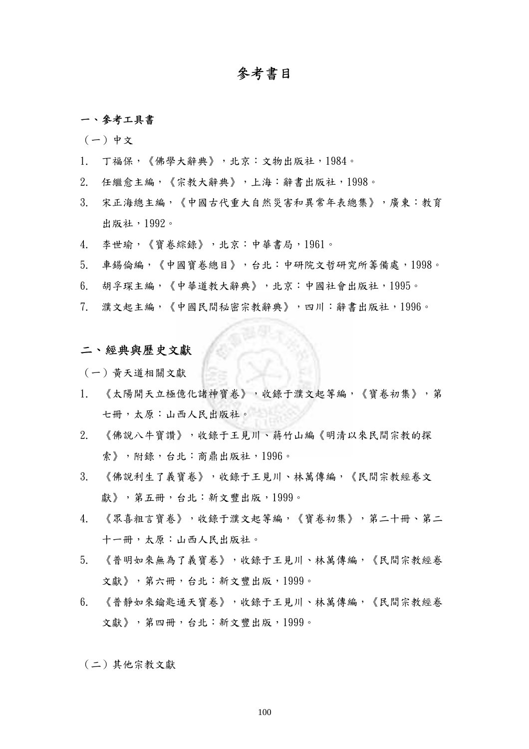## 參考書目

一、參考工具書

(一)中文

- 1. 丁福保,《佛學大辭典》,北京:文物出版社,1984。
- 2. 任繼愈主編,《宗教大辭典》,上海:辭書出版社,1998。
- 3. 宋正海總主編,《中國古代重大自然災害和異常年表總集》,廣東:教育 出版社,1992。
- 4. 李世瑜,《寶卷綜錄》,北京:中華書局,1961。
- 5. 車錫倫編,《中國寶卷總目》,台北:中研院文哲研究所籌備處,1998。
- 6. 胡孚琛主編,《中華道教大辭典》,北京:中國社會出版社,1995。
- 7. 濮文起主編,《中國民間秘密宗教辭典》,四川:辭書出版社,1996。

## 二、經典與歷史文獻

(一)黃天道相關文獻

- 1. 《太陽開天立極億化諸神寶卷》,收錄于濮文起等編,《寶卷初集》,第 七冊,太原:山西人民出版社。
- 2. 《佛說八牛寶讚》,收錄于王見川、蔣竹山編《明清以來民間宗教的探 索》,附錄,台北:商鼎出版社,1996。
- 3. 《佛說利生了義寶卷》,收錄于王見川、林萬傳編,《民間宗教經卷文 獻》,第五冊,台北:新文豐出版,1999。
- 4. 《眾喜粗言寶卷》,收錄于濮文起等編,《寶卷初集》,第二十冊、第二 十一冊,太原:山西人民出版社。
- 5. 《普明如來無為了義寶卷》,收錄于王見川、林萬傳編,《民間宗教經卷 文獻》,第六冊,台北:新文豐出版,1999。
- 6. 《普靜如來鑰匙通天寶卷》,收錄于王見川、林萬傳編,《民間宗教經卷 文獻》,第四冊,台北:新文豐出版,1999。

(二)其他宗教文獻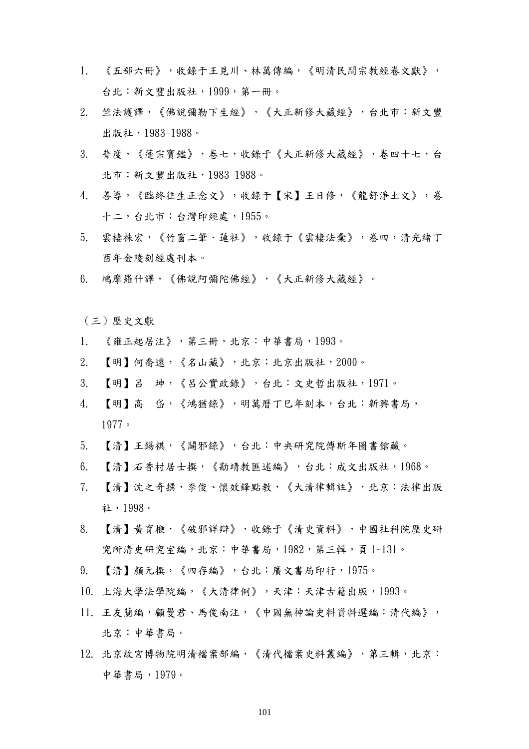- 1. 《五部六冊》,收錄于王見川、林萬傳編,《明清民間宗教經卷文獻》, 台北:新文豐出版社,1999,第一冊。
- 2. 竺法護譯,《佛說彌勒下生經》,《大正新修大藏經》,台北市:新文豐 出版社,1983-1988。
- 3. 普度,《蓮宗寶鑑》,卷七,收錄于《大正新修大藏經》,卷四十七,台 北市:新文豐出版社,1983-1988。
- 4. 善導,《臨終往生正念文》,收錄于【宋】王日修,《龍舒淨土文》,卷 十二,台北市:台灣印經處,1955。
- 5. 雲棲祩宏,《竹窗二筆.蓮社》,收錄于《雲棲法彙》,卷四,清光緒丁 酉年金陵刻經處刊本。
- 6. 鳩摩羅什譯,《佛說阿彌陀佛經》,《大正新修大藏經》。

(三)歷史文獻

- 1. 《雍正起居注》,第三冊,北京:中華書局,1993。
- 2. 【明】何喬遠,《名山藏》,北京:北京出版社,2000。
- 3. 【明】呂 坤,《呂公實政錄》,台北:文史哲出版社,1971。
- 4. 【明】高 岱,《鴻猶錄》,明萬曆丁巳年刻本,台北:新興書局, 1977。
- 5. 【清】王錫祺,《闢邪錄》,台北:中央研究院傅斯年圖書館藏。
- 6. 【清】石香村居士撰,《勘靖教匪述編》,台北:成文出版社,1968。
- 7. 【清】沈之奇撰,李俊、懷效鋒點教,《大清律輯註》,北京:法律出版 社,1998。
- 8. 【清】黃育楩,《破邪詳辯》,收錄于《清史資料》,中國社科院歷史研 究所清史研究室編,北京:中華書局,1982,第三輯,頁1~131。
- 9. 【清】顏元撰,《四存編》,台北:廣文書局印行,1975。
- 10. 上海大學法學院編,《大清律例》,天津:天津古籍出版,1993。
- 11. 王友蘭編, 顧曼君、馬俊南注,《中國無神論史料資料選編:清代編》, 北京:中華書局。
- 12. 北京故宮博物院明清檔案部編,《清代檔案史料叢編》,第三輯,北京: 中華書局,1979。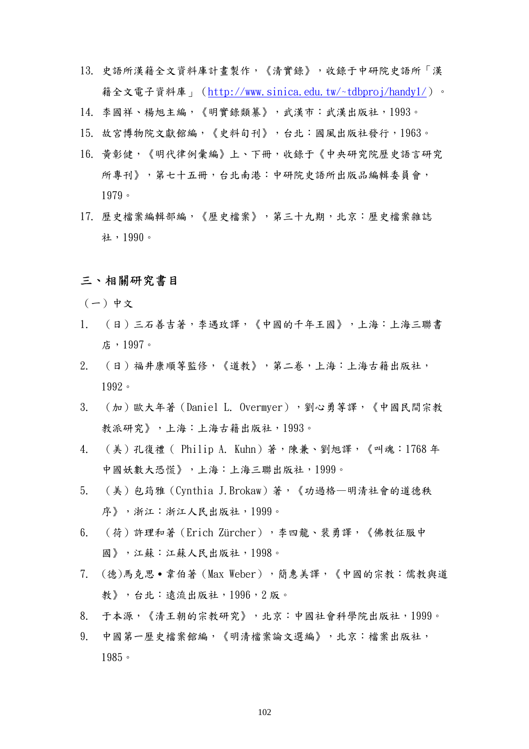- 13. 史語所漢籍全文資料庫計畫製作,《清實錄》,收錄于中研院史語所「漢 籍全文電子資料庫」(http://www.sinica.edu.tw/~tdbproj/handy1/)。
- 14. 李國祥、楊旭主編,《明實錄類纂》,武漢市:武漢出版社,1993。
- 15. 故宮博物院文獻館編,《史料旬刊》,台北:國風出版社發行,1963。
- 16. 黃彰健,《明代律例彙編》上、下冊,收錄于《中央研究院歷史語言研究 所專刊》,第七十五冊,台北南港:中研院史語所出版品編輯委員會, 1979。
- 17. 歷史檔案編輯部編,《歷史檔案》,第三十九期,北京:歷史檔案雜誌 社,1990。

## 三、相關研究書目

(一)中文

- 1. (日)三石善吉著,李遇玫譯,《中國的千年王國》,上海:上海三聯書 店,1997。
- 2. (日)福井康順等監修,《道教》,第二卷,上海:上海古籍出版社, 1992。
- 3. (加)歐大年著(Daniel L. Overmyer),劉心勇等譯,《中國民間宗教 教派研究》,上海:上海古籍出版社,1993。
- 4. (美)孔復禮 ( Philip A. Kuhn)著,陳兼、劉旭譯,《叫魂:1768年 中國妖數大恐慌》,上海:上海三聯出版社,1999。
- 5. (美)包筠雅(Cynthia J.Brokaw)著,《功過格—明清社會的道德秩 序》,浙江:浙江人民出版社,1999。
- 6. (荷)許理和著(Erich Zürcher),李四龍、裴勇譯,《佛教征服中 國》,江蘇:江蘇人民出版社,1998。
- 7. (德)馬克思․韋伯著(Max Weber),簡惠美譯,《中國的宗教:儒教與道 教》,台北:遠流出版社,1996,2 版。
- 8. 于本源,《清王朝的宗教研究》,北京:中國社會科學院出版社,1999。
- 9. 中國第一歷史檔案館編,《明清檔案論文選編》,北京:檔案出版社, 1985。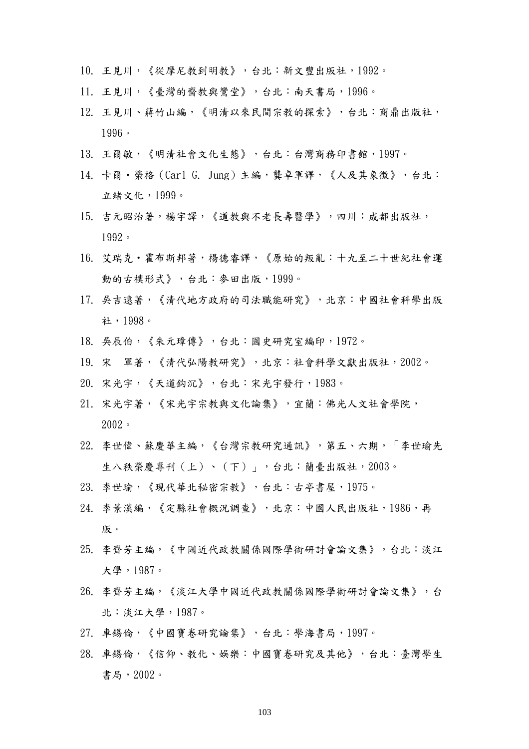- 10. 王見川,《從摩尼教到明教》,台北:新文豐出版社,1992。
- 11. 王見川,《臺灣的齋教與鸞堂》,台北:南天書局,1996。
- 12. 王見川、蔣竹山編,《明清以來民間宗教的探索》,台北:商鼎出版社, 1996。
- 13. 王爾敏,《明清社會文化生態》,台北:台灣商務印書館,1997。
- 14. 卡爾·榮格(Carl G. Jung)主編,襲卓軍譯,《人及其象徵》,台北: 立緒文化,1999。
- 15. 吉元昭治著,楊宇譯,《道教與不老長壽醫學》,四川:成都出版社, 1992。
- 16. 艾瑞克‧霍布斯邦著,楊德睿譯,《原始的叛亂:十九至二十世紀社會運 動的古樸形式》,台北:麥田出版,1999。
- 17. 吳吉遠著,《清代地方政府的司法職能研究》,北京:中國社會科學出版 社,1998。
- 18. 吳辰伯,《朱元璋傳》,台北:國史研究室編印,1972。
- 19. 宋 軍著,《清代弘陽教研究》,北京:社會科學文獻出版社,2002。
- 20. 宋光宇,《天道鈎沉》,台北:宋光宇發行,1983。
- 21. 宋光宇著,《宋光宇宗教與文化論集》,宜蘭:佛光人文社會學院, 2002。
- 22. 李世偉、蘇慶華主編,《台灣宗教研究通訊》,第五、六期,「李世瑜先 生八秩榮慶專刊(上)、(下)」, 台北:蘭臺出版社, 2003。
- 23. 李世瑜,《現代華北秘密宗教》,台北:古亭書屋,1975。
- 24. 李景漢編,《定縣社會概況調查》,北京:中國人民出版社,1986,再 版。
- 25. 李齊芳主編,《中國近代政教關係國際學術研討會論文集》,台北:淡江 大學,1987。
- 26. 李齊芳主編,《淡江大學中國近代政教關係國際學術研討會論文集》,台 北:淡江大學,1987。
- 27. 車錫倫,《中國寶卷研究論集》,台北:學海書局,1997。
- 28. 車錫倫,《信仰、教化、娛樂:中國寶卷研究及其他》,台北:臺灣學生 書局,2002。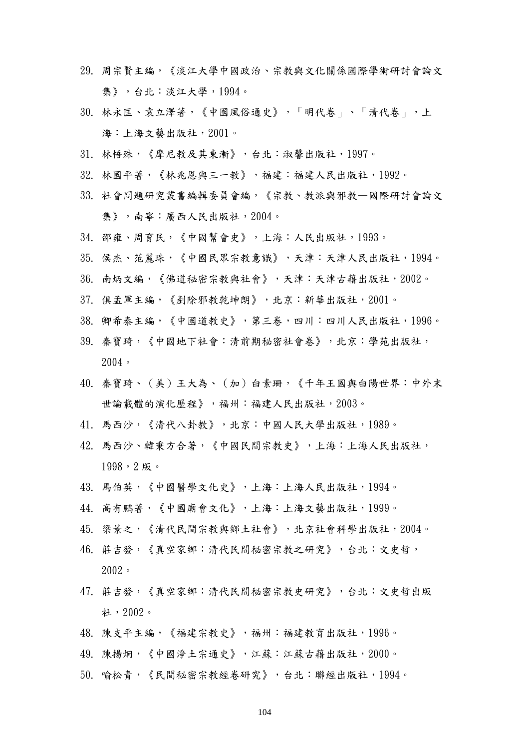- 29. 周宗賢主編,《淡江大學中國政治、宗教與文化關係國際學術研討會論文 集》,台北:淡江大學,1994。
- 30. 林永匡、袁立澤著,《中國風俗通史》,「明代卷」、「清代卷」,上 海:上海文藝出版社,2001。
- 31. 林悟殊,《摩尼教及其東漸》,台北:淑馨出版社,1997。
- 32. 林國平著,《林兆恩與三一教》,福建:福建人民出版社,1992。
- 33. 社會問題研究叢書編輯委員會編,《宗教、教派與邪教—國際研討會論文 集》,南寧:廣西人民出版社,2004。
- 34. 邵雍、周育民,《中國幫會史》,上海:人民出版社,1993。
- 35. 侯杰、范麗珠,《中國民眾宗教意識》,天津:天津人民出版社,1994。
- 36. 南炳文編,《佛道秘密宗教與社會》,天津:天津古籍出版社,2002。
- 37. 俱孟軍主編,《剷除邪教乾坤朗》,北京:新華出版社,2001。
- 38. 卿希泰主編,《中國道教史》,第三卷,四川:四川人民出版社,1996。
- 39. 秦寶琦,《中國地下社會:清前期秘密社會卷》,北京:學苑出版社, 2004。
- 40. 秦寶琦、(美)王大為、(加)白素珊,《千年王國與白陽世界:中外末 世論載體的演化歷程》,福州:福建人民出版社,2003。
- 41. 馬西沙,《清代八卦教》,北京:中國人民大學出版社,1989。
- 42. 馬西沙、韓秉方合著,《中國民間宗教史》,上海:上海人民出版社, 1998,2 版。
- 43. 馬伯英,《中國醫學文化史》,上海:上海人民出版社,1994。
- 44. 高有鵬著,《中國廟會文化》,上海:上海文藝出版社,1999。
- 45. 梁景之,《清代民間宗教與鄉土社會》,北京社會科學出版社,2004。
- 46. 莊吉發,《真空家鄉:清代民間秘密宗教之研究》,台北:文史哲, 2002。
- 47. 莊吉發,《真空家鄉:清代民間秘密宗教史研究》,台北:文史哲出版 社,2002。
- 48. 陳支平主編,《福建宗教史》,福州:福建教育出版社,1996。
- 49. 陳揚炯,《中國淨土宗通史》,江蘇:江蘇古籍出版社,2000。
- 50. 喻松青,《民間秘密宗教經卷研究》,台北:聯經出版社,1994。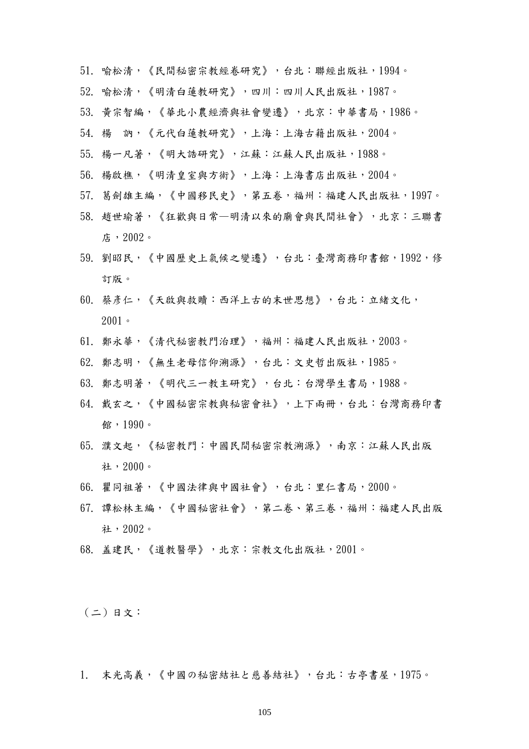- 51. 喻松清,《民間秘密宗教經卷研究》,台北:聯經出版社,1994。
- 52. 喻松清,《明清白蓮教研究》,四川:四川人民出版社,1987。
- 53. 黃宗智編,《華北小農經濟與社會變遷》,北京:中華書局,1986。
- 54. 楊 訥,《元代白蓮教研究》,上海:上海古籍出版社,2004。
- 55. 楊一凡著,《明大誥研究》,江蘇:江蘇人民出版社,1988。
- 56. 楊啟樵,《明清皇室與方術》,上海:上海書店出版社,2004。
- 57. 葛劍雄主編,《中國移民史》,第五卷,福州:福建人民出版社,1997。
- 58. 趙世瑜著,《狂歡與日常—明清以來的廟會與民間社會》,北京:三聯書 店,2002。
- 59. 劉昭民,《中國歷史上氣候之變遷》,台北:臺灣商務印書館,1992,修 訂版。
- 60. 蔡彥仁,《天啟與救贖:西洋上古的末世思想》,台北:立緒文化, 2001。
- 61. 鄭永華,《清代秘密教門治理》,福州:福建人民出版社,2003。
- 62. 鄭志明,《無生老母信仰溯源》,台北:文史哲出版社,1985。
- 63. 鄭志明著,《明代三一教主研究》,台北:台灣學生書局,1988。
- 64. 戴玄之,《中國秘密宗教與秘密會社》,上下兩冊,台北:台灣商務印書 館,1990。
- 65. 濮文起,《秘密教門:中國民間秘密宗教溯源》,南京:江蘇人民出版 社,2000。
- 66. 瞿同祖著,《中國法律與中國社會》,台北:里仁書局,2000。
- 67. 譚松林主編,《中國秘密社會》,第二卷、第三卷,福州:福建人民出版 社,2002。
- 68. 盖建民,《道教醫學》,北京:宗教文化出版社,2001。

(二)日文:

1. 末光高義,《中國の秘密結社と慈善結社》,台北:古亭書屋,1975。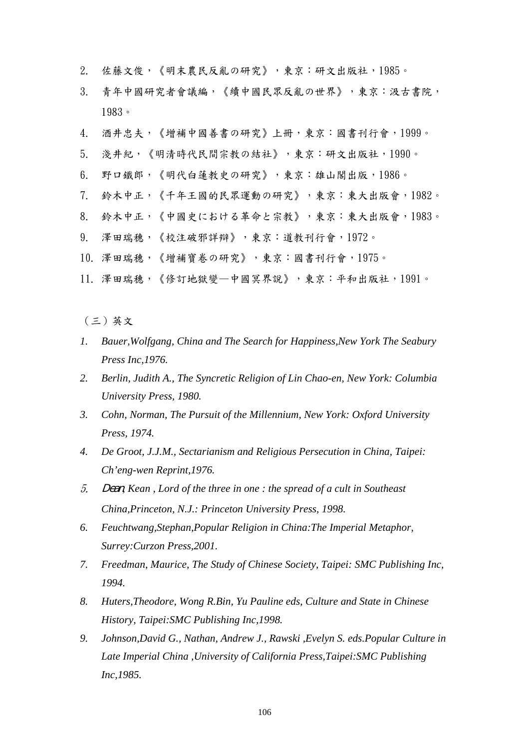- 2. 佐藤文俊,《明末農民反亂の研究》,東京:研文出版社,1985。
- 3. 青年中國研究者會議編,《續中國民眾反亂の世界》,東京:汲古書院, 1983。
- 4. 酒井忠夫,《增補中國善書の研究》上冊,東京:國書刊行會,1999。
- 5. 淺井紀,《明清時代民間宗教の結社》,東京:研文出版社,1990。
- 6. 野口鐵郎,《明代白蓮教史の研究》,東京:雄山閣出版,1986。
- 7. 鈴木中正,《千年王國的民眾運動の研究》,東京:東大出版會,1982。
- 8. 鈴木中正,《中國史における革命と宗教》,東京:東大出版會,1983。
- 9. 澤田瑞穗,《校注破邪詳辯》,東京:道教刊行會,1972。
- 10. 澤田瑞穗,《增補寶卷の研究》,東京:國書刊行會,1975。
- 11. 澤田瑞穗,《修訂地獄變—中國冥界說》,東京:平和出版社,1991。

(三)英文

- *1. Bauer,Wolfgang, China and The Search for Happiness,New York The Seabury Press Inc,1976.*
- *2. Berlin, Judith A., The Syncretic Religion of Lin Chao-en, New York: Columbia University Press, 1980.*
- *3. Cohn, Norman, The Pursuit of the Millennium, New York: Oxford University Press, 1974.*
- *4. De Groot, J.J.M., Sectarianism and Religious Persecution in China, Taipei: Ch'eng-wen Reprint,1976.*
- 5. Dean*, Kean , Lord of the three in one : the spread of a cult in Southeast China,Princeton, N.J.: Princeton University Press, 1998.*
- *6. Feuchtwang,Stephan,Popular Religion in China:The Imperial Metaphor, Surrey:Curzon Press,2001.*
- *7. Freedman, Maurice, The Study of Chinese Society, Taipei: SMC Publishing Inc, 1994.*
- *8. Huters,Theodore, Wong R.Bin, Yu Pauline eds, Culture and State in Chinese History, Taipei:SMC Publishing Inc,1998.*
- *9. Johnson,David G., Nathan, Andrew J., Rawski ,Evelyn S. eds.Popular Culture in Late Imperial China ,University of California Press,Taipei:SMC Publishing Inc,1985.*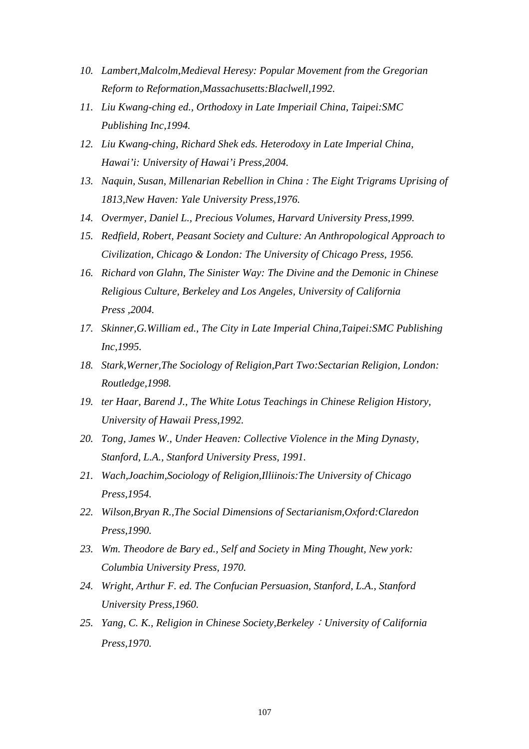- *10. Lambert,Malcolm,Medieval Heresy: Popular Movement from the Gregorian Reform to Reformation,Massachusetts:Blaclwell,1992.*
- *11. Liu Kwang-ching ed., Orthodoxy in Late Imperiail China, Taipei:SMC Publishing Inc,1994.*
- *12. Liu Kwang-ching, Richard Shek eds. Heterodoxy in Late Imperial China, Hawai'i: University of Hawai'i Press,2004.*
- *13. Naquin, Susan, Millenarian Rebellion in China : The Eight Trigrams Uprising of 1813,New Haven: Yale University Press,1976.*
- *14. Overmyer, Daniel L., Precious Volumes, Harvard University Press,1999.*
- *15. Redfield, Robert, Peasant Society and Culture: An Anthropological Approach to Civilization, Chicago & London: The University of Chicago Press, 1956.*
- *16. Richard von Glahn, The Sinister Way: The Divine and the Demonic in Chinese Religious Culture, Berkeley and Los Angeles, University of California Press ,2004.*
- *17. Skinner,G.William ed., The City in Late Imperial China,Taipei:SMC Publishing Inc,1995.*
- *18. Stark,Werner,The Sociology of Religion,Part Two:Sectarian Religion, London: Routledge,1998.*
- *19. ter Haar, Barend J., The White Lotus Teachings in Chinese Religion History, University of Hawaii Press,1992.*
- *20. Tong, James W., Under Heaven: Collective Violence in the Ming Dynasty, Stanford, L.A., Stanford University Press, 1991.*
- *21. Wach,Joachim,Sociology of Religion,Illiinois:The University of Chicago Press,1954.*
- *22. Wilson,Bryan R.,The Social Dimensions of Sectarianism,Oxford:Claredon Press,1990.*
- *23. Wm. Theodore de Bary ed., Self and Society in Ming Thought, New york: Columbia University Press, 1970.*
- *24. Wright, Arthur F. ed. The Confucian Persuasion, Stanford, L.A., Stanford University Press,1960.*
- *25. Yang, C. K., Religion in Chinese Society,Berkeley*:*University of California Press,1970.*